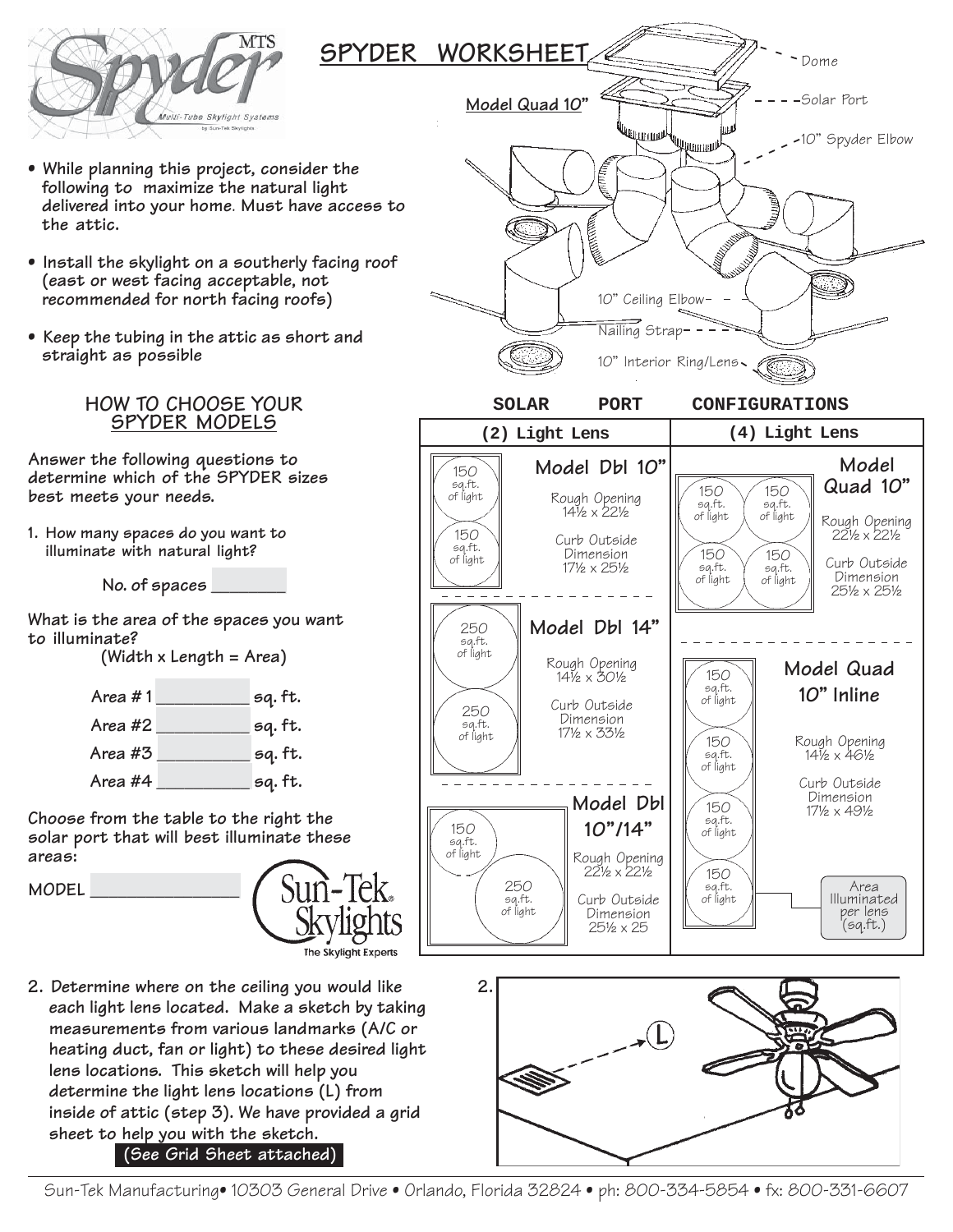

- **While planning this project, consider the following to maximize the natural light delivered into your home**. **Must have access to the attic.**
- **Install the skylight on a southerly facing roof (east or west facing acceptable, not recommended for north facing roofs)**
- **Keep the tubing in the attic as short and straight as possible**

## **HOW TO CHOOSE YOUR SPYDER MODELS**

**Answer the following questions to determine which of the SPYDER sizes best meets your needs.**

**1. How many spaces do you want to illuminate with natural light?**

**No. of spaces \_\_\_\_\_\_\_\_**

**What is the area of the spaces you want to illuminate?**

**(Width x Length = Area)**

| Area #1 | sq. ft. |
|---------|---------|
| Area #2 | sq. ft. |
| Area #3 | sq. ft. |
| Area #4 | sq. ft. |

**Choose from the table to the right the solar port that will best illuminate these areas:**

**MODEL \_\_\_\_\_\_\_\_\_\_\_\_\_\_\_\_**



**2. Determine where on the ceiling you would like each light lens located. Make a sketch by taking measurements from various landmarks (A/C or heating duct, fan or light) to these desired light lens locations. This sketch will help you determine the light lens locations (L) from inside of attic (step 3). We have provided a grid sheet to help you with the sketch.**

**(See Grid Sheet attached)**

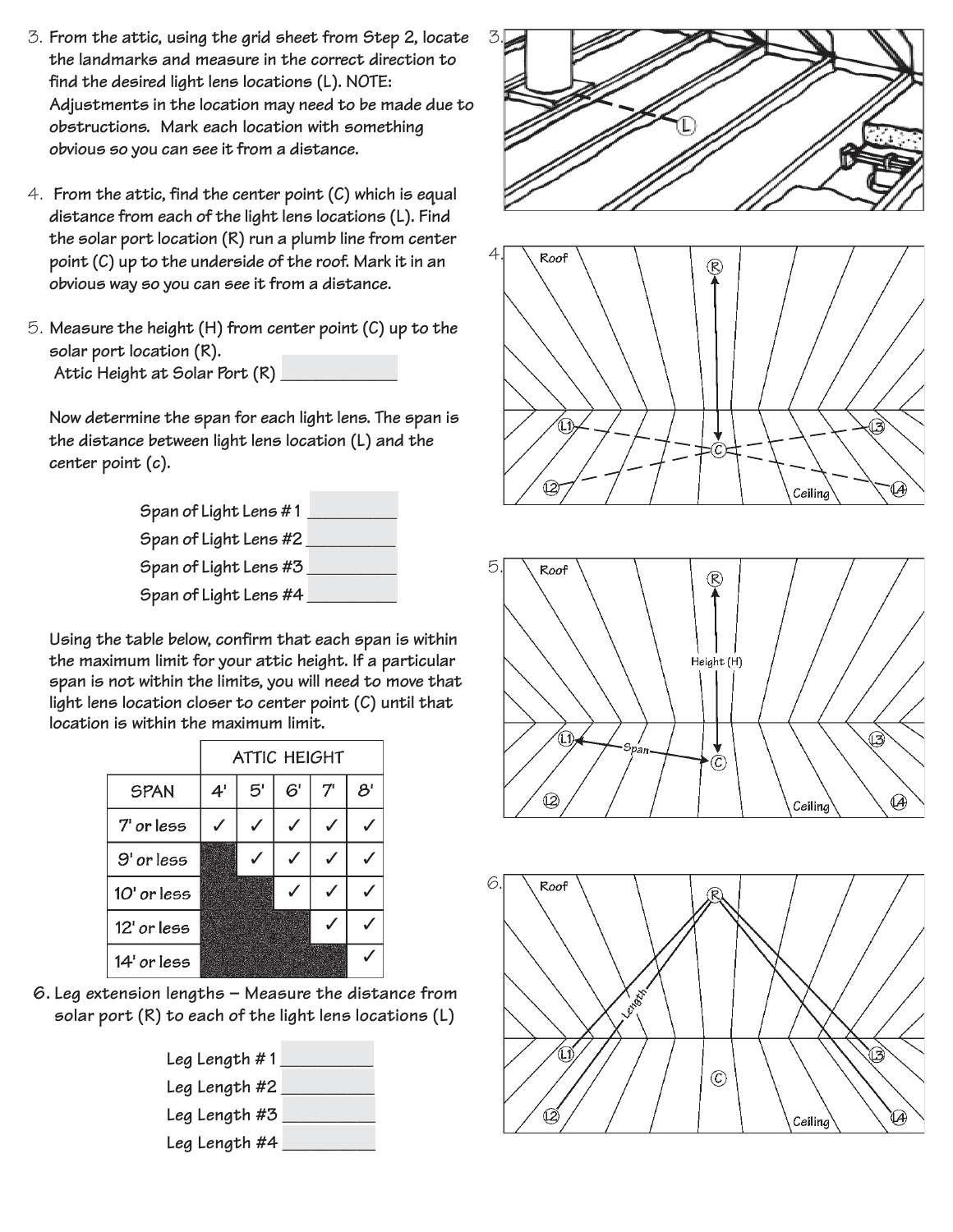- 3. **From the attic, using the grid sheet from Step 2, locate the landmarks and measure in the correct direction to find the desired light lens locations (L). NOTE: Adjustments in the location may need to be made due to obstructions. Mark each location with something obvious so you can see it from a distance.**
- 4. **From the attic, find the center point (C) which is equal distance from each of the light lens locations (L). Find the solar port location (R) run a plumb line from center point (C) up to the underside of the roof. Mark it in an obvious way so you can see it from a distance.**
- 5. **Measure the height (H) from center point (C) up to the solar port location (R). Attic Height at Solar Port (R) \_\_\_\_\_\_\_\_\_\_\_\_\_**

**Now determine the span for each light lens. The span is the distance between light lens location (L) and the center point (c).**

| Span of Light Lens #1 |  |
|-----------------------|--|
| Span of Light Lens #2 |  |
| Span of Light Lens #3 |  |
| Span of Light Lens #4 |  |

**Using the table below, confirm that each span is within the maximum limit for your attic height. If a particular span is not within the limits, you will need to move that light lens location closer to center point (C) until that location is within the maximum limit.**

|               | <b>ATTIC HEIGHT</b> |              |    |    |                            |  |  |  |  |  |  |
|---------------|---------------------|--------------|----|----|----------------------------|--|--|--|--|--|--|
| <b>SPAN</b>   | 4 <sup>1</sup>      | $5^{\prime}$ | 6' | 7' | $\mathcal{B}^{\mathsf{r}}$ |  |  |  |  |  |  |
| 7' or less    |                     |              |    |    |                            |  |  |  |  |  |  |
| $9'$ or less  |                     |              |    |    |                            |  |  |  |  |  |  |
| $10'$ or less |                     |              |    |    |                            |  |  |  |  |  |  |
| 12' or less   |                     |              |    |    |                            |  |  |  |  |  |  |
| $14'$ or less |                     |              |    |    |                            |  |  |  |  |  |  |

**6. Leg extension lengths – Measure the distance from solar port (R) to each of the light lens locations (L)**